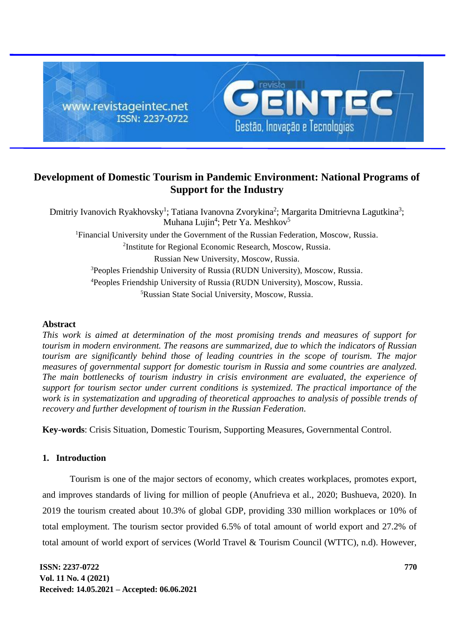

# **Development of Domestic Tourism in Pandemic Environment: National Programs of Support for the Industry**

Dmitriy Ivanovich Ryakhovsky<sup>1</sup>; Tatiana Ivanovna Zvorykina<sup>2</sup>; Margarita Dmitrievna Lagutkina<sup>3</sup>; Muhana Lujin<sup>4</sup>; Petr Ya. Meshkov<sup>5</sup> <sup>1</sup>Financial University under the Government of the Russian Federation, Moscow, Russia. <sup>2</sup>Institute for Regional Economic Research, Moscow, Russia. Russian New University, Moscow, Russia. <sup>3</sup>Peoples Friendship University of Russia (RUDN University), Moscow, Russia. <sup>4</sup>Peoples Friendship University of Russia (RUDN University), Moscow, Russia. <sup>5</sup>Russian State Social University, Moscow, Russia.

## **Abstract**

*This work is aimed at determination of the most promising trends and measures of support for tourism in modern environment. The reasons are summarized, due to which the indicators of Russian tourism are significantly behind those of leading countries in the scope of tourism. The major measures of governmental support for domestic tourism in Russia and some countries are analyzed. The main bottlenecks of tourism industry in crisis environment are evaluated, the experience of support for tourism sector under current conditions is systemized. The practical importance of the work is in systematization and upgrading of theoretical approaches to analysis of possible trends of recovery and further development of tourism in the Russian Federation.*

**Key-words**: Crisis Situation, Domestic Tourism, Supporting Measures, Governmental Control.

## **1. Introduction**

Tourism is one of the major sectors of economy, which creates workplaces, promotes export, and improves standards of living for million of people (Anufrieva et al., 2020; Bushueva, 2020). In 2019 the tourism created about 10.3% of global GDP, providing 330 million workplaces or 10% of total employment. The tourism sector provided 6.5% of total amount of world export and 27.2% of total amount of world export of services (World Travel & Tourism Council (WTTC), n.d). However,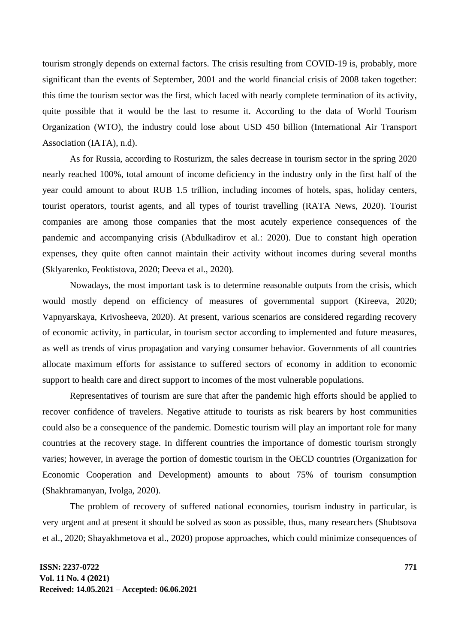tourism strongly depends on external factors. The crisis resulting from COVID-19 is, probably, more significant than the events of September, 2001 and the world financial crisis of 2008 taken together: this time the tourism sector was the first, which faced with nearly complete termination of its activity, quite possible that it would be the last to resume it. According to the data of World Tourism Organization (WTO), the industry could lose about USD 450 billion (International Air Transport Association (IATA), n.d).

As for Russia, according to Rosturizm, the sales decrease in tourism sector in the spring 2020 nearly reached 100%, total amount of income deficiency in the industry only in the first half of the year could amount to about RUB 1.5 trillion, including incomes of hotels, spas, holiday centers, tourist operators, tourist agents, and all types of tourist travelling (RATA News, 2020). Tourist companies are among those companies that the most acutely experience consequences of the pandemic and accompanying crisis (Abdulkadirov et al.: 2020). Due to constant high operation expenses, they quite often cannot maintain their activity without incomes during several months (Sklyarenko, Feoktistova, 2020; Deeva et al., 2020).

Nowadays, the most important task is to determine reasonable outputs from the crisis, which would mostly depend on efficiency of measures of governmental support (Kireeva, 2020; Vapnyarskaya, Krivosheeva, 2020). At present, various scenarios are considered regarding recovery of economic activity, in particular, in tourism sector according to implemented and future measures, as well as trends of virus propagation and varying consumer behavior. Governments of all countries allocate maximum efforts for assistance to suffered sectors of economy in addition to economic support to health care and direct support to incomes of the most vulnerable populations.

Representatives of tourism are sure that after the pandemic high efforts should be applied to recover confidence of travelers. Negative attitude to tourists as risk bearers by host communities could also be a consequence of the pandemic. Domestic tourism will play an important role for many countries at the recovery stage. In different countries the importance of domestic tourism strongly varies; however, in average the portion of domestic tourism in the OECD countries (Organization for Economic Cooperation and Development) amounts to about 75% of tourism consumption (Shakhramanyan, Ivolga, 2020).

The problem of recovery of suffered national economies, tourism industry in particular, is very urgent and at present it should be solved as soon as possible, thus, many researchers (Shubtsova et al., 2020; Shayakhmetova et al., 2020) propose approaches, which could minimize consequences of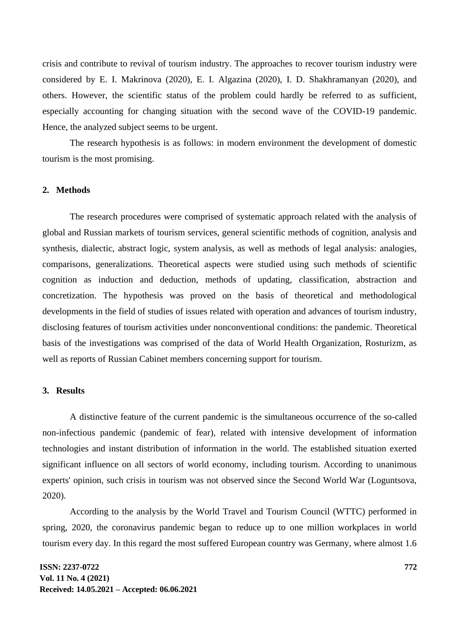crisis and contribute to revival of tourism industry. The approaches to recover tourism industry were considered by E. I. Makrinova (2020), E. I. Algazina (2020), I. D. Shakhramanyan (2020), and others. However, the scientific status of the problem could hardly be referred to as sufficient, especially accounting for changing situation with the second wave of the COVID-19 pandemic. Hence, the analyzed subject seems to be urgent.

The research hypothesis is as follows: in modern environment the development of domestic tourism is the most promising.

### **2. Methods**

The research procedures were comprised of systematic approach related with the analysis of global and Russian markets of tourism services, general scientific methods of cognition, analysis and synthesis, dialectic, abstract logic, system analysis, as well as methods of legal analysis: analogies, comparisons, generalizations. Theoretical aspects were studied using such methods of scientific cognition as induction and deduction, methods of updating, classification, abstraction and concretization. The hypothesis was proved on the basis of theoretical and methodological developments in the field of studies of issues related with operation and advances of tourism industry, disclosing features of tourism activities under nonconventional conditions: the pandemic. Theoretical basis of the investigations was comprised of the data of World Health Organization, Rosturizm, as well as reports of Russian Cabinet members concerning support for tourism.

#### **3. Results**

A distinctive feature of the current pandemic is the simultaneous occurrence of the so-called non-infectious pandemic (pandemic of fear), related with intensive development of information technologies and instant distribution of information in the world. The established situation exerted significant influence on all sectors of world economy, including tourism. According to unanimous experts' opinion, such crisis in tourism was not observed since the Second World War (Loguntsova, 2020).

According to the analysis by the World Travel and Tourism Council (WTTC) performed in spring, 2020, the coronavirus pandemic began to reduce up to one million workplaces in world tourism every day. In this regard the most suffered European country was Germany, where almost 1.6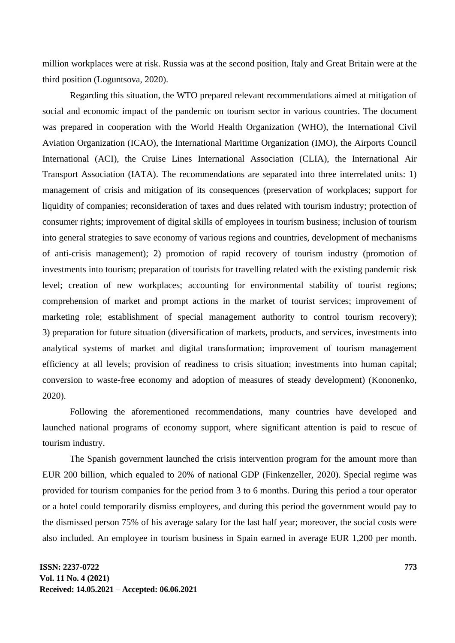million workplaces were at risk. Russia was at the second position, Italy and Great Britain were at the third position (Loguntsova, 2020).

Regarding this situation, the WTO prepared relevant recommendations aimed at mitigation of social and economic impact of the pandemic on tourism sector in various countries. The document was prepared in cooperation with the World Health Organization (WHO), the International Civil Aviation Organization (ICAO), the International Maritime Organization (IMO), the Airports Council International (ACI), the Cruise Lines International Association (CLIA), the International Air Transport Association (IATA). The recommendations are separated into three interrelated units: 1) management of crisis and mitigation of its consequences (preservation of workplaces; support for liquidity of companies; reconsideration of taxes and dues related with tourism industry; protection of consumer rights; improvement of digital skills of employees in tourism business; inclusion of tourism into general strategies to save economy of various regions and countries, development of mechanisms of anti-crisis management); 2) promotion of rapid recovery of tourism industry (promotion of investments into tourism; preparation of tourists for travelling related with the existing pandemic risk level; creation of new workplaces; accounting for environmental stability of tourist regions; comprehension of market and prompt actions in the market of tourist services; improvement of marketing role; establishment of special management authority to control tourism recovery); 3) preparation for future situation (diversification of markets, products, and services, investments into analytical systems of market and digital transformation; improvement of tourism management efficiency at all levels; provision of readiness to crisis situation; investments into human capital; conversion to waste-free economy and adoption of measures of steady development) (Kononenko, 2020).

Following the aforementioned recommendations, many countries have developed and launched national programs of economy support, where significant attention is paid to rescue of tourism industry.

The Spanish government launched the crisis intervention program for the amount more than EUR 200 billion, which equaled to 20% of national GDP (Finkenzeller, 2020). Special regime was provided for tourism companies for the period from 3 to 6 months. During this period a tour operator or a hotel could temporarily dismiss employees, and during this period the government would pay to the dismissed person 75% of his average salary for the last half year; moreover, the social costs were also included. An employee in tourism business in Spain earned in average EUR 1,200 per month.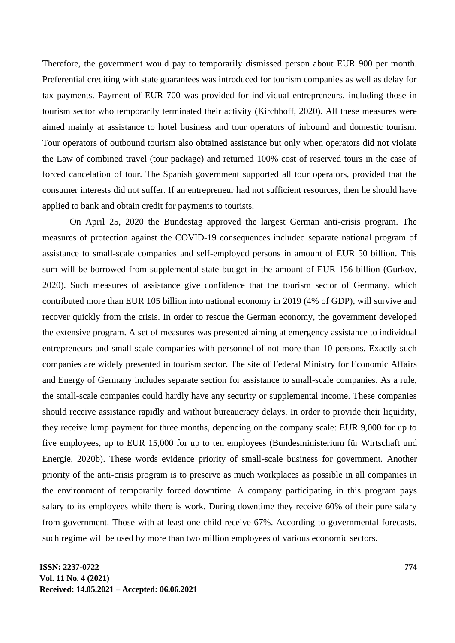Therefore, the government would pay to temporarily dismissed person about EUR 900 per month. Preferential crediting with state guarantees was introduced for tourism companies as well as delay for tax payments. Payment of EUR 700 was provided for individual entrepreneurs, including those in tourism sector who temporarily terminated their activity (Kirchhoff, 2020). All these measures were aimed mainly at assistance to hotel business and tour operators of inbound and domestic tourism. Tour operators of outbound tourism also obtained assistance but only when operators did not violate the Law of combined travel (tour package) and returned 100% cost of reserved tours in the case of forced cancelation of tour. The Spanish government supported all tour operators, provided that the consumer interests did not suffer. If an entrepreneur had not sufficient resources, then he should have applied to bank and obtain credit for payments to tourists.

On April 25, 2020 the Bundestag approved the largest German anti-crisis program. The measures of protection against the COVID-19 consequences included separate national program of assistance to small-scale companies and self-employed persons in amount of EUR 50 billion. This sum will be borrowed from supplemental state budget in the amount of EUR 156 billion (Gurkov, 2020). Such measures of assistance give confidence that the tourism sector of Germany, which contributed more than EUR 105 billion into national economy in 2019 (4% of GDP), will survive and recover quickly from the crisis. In order to rescue the German economy, the government developed the extensive program. A set of measures was presented aiming at emergency assistance to individual entrepreneurs and small-scale companies with personnel of not more than 10 persons. Exactly such companies are widely presented in tourism sector. The site of Federal Ministry for Economic Affairs and Energy of Germany includes separate section for assistance to small-scale companies. As a rule, the small-scale companies could hardly have any security or supplemental income. These companies should receive assistance rapidly and without bureaucracy delays. In order to provide their liquidity, they receive lump payment for three months, depending on the company scale: EUR 9,000 for up to five employees, up to EUR 15,000 for up to ten employees (Bundesministerium für Wirtschaft und Energie, 2020b). These words evidence priority of small-scale business for government. Another priority of the anti-crisis program is to preserve as much workplaces as possible in all companies in the environment of temporarily forced downtime. A company participating in this program pays salary to its employees while there is work. During downtime they receive 60% of their pure salary from government. Those with at least one child receive 67%. According to governmental forecasts, such regime will be used by more than two million employees of various economic sectors.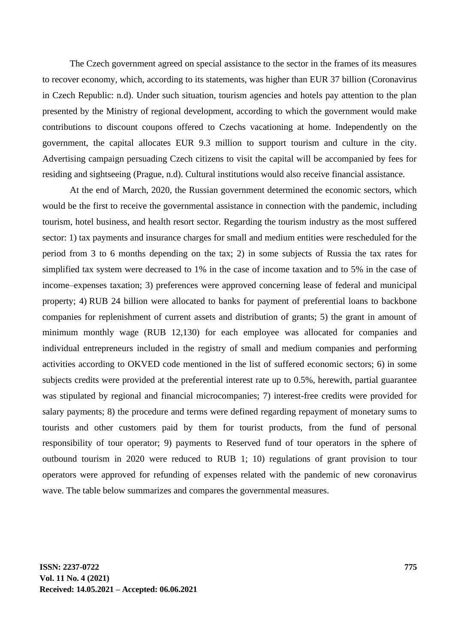The Czech government agreed on special assistance to the sector in the frames of its measures to recover economy, which, according to its statements, was higher than EUR 37 billion (Coronavirus in Czech Republic: n.d). Under such situation, tourism agencies and hotels pay attention to the plan presented by the Ministry of regional development, according to which the government would make contributions to discount coupons offered to Czechs vacationing at home. Independently on the government, the capital allocates EUR 9.3 million to support tourism and culture in the city. Advertising campaign persuading Czech citizens to visit the capital will be accompanied by fees for residing and sightseeing (Prague, n.d). Cultural institutions would also receive financial assistance.

At the end of March, 2020, the Russian government determined the economic sectors, which would be the first to receive the governmental assistance in connection with the pandemic, including tourism, hotel business, and health resort sector. Regarding the tourism industry as the most suffered sector: 1) tax payments and insurance charges for small and medium entities were rescheduled for the period from 3 to 6 months depending on the tax; 2) in some subjects of Russia the tax rates for simplified tax system were decreased to 1% in the case of income taxation and to 5% in the case of income–expenses taxation; 3) preferences were approved concerning lease of federal and municipal property; 4) RUB 24 billion were allocated to banks for payment of preferential loans to backbone companies for replenishment of current assets and distribution of grants; 5) the grant in amount of minimum monthly wage (RUB 12,130) for each employee was allocated for companies and individual entrepreneurs included in the registry of small and medium companies and performing activities according to OKVED code mentioned in the list of suffered economic sectors; 6) in some subjects credits were provided at the preferential interest rate up to 0.5%, herewith, partial guarantee was stipulated by regional and financial microcompanies; 7) interest-free credits were provided for salary payments; 8) the procedure and terms were defined regarding repayment of monetary sums to tourists and other customers paid by them for tourist products, from the fund of personal responsibility of tour operator; 9) payments to Reserved fund of tour operators in the sphere of outbound tourism in 2020 were reduced to RUB 1; 10) regulations of grant provision to tour operators were approved for refunding of expenses related with the pandemic of new coronavirus wave. The table below summarizes and compares the governmental measures.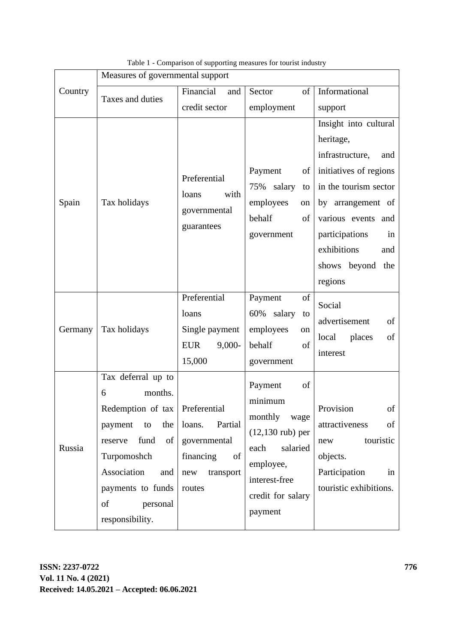|         | Measures of governmental support                                                                                                                                                                                         |                                                                                                                                                                                    |                                                                                                                                                                                    |                                                                                                                                                                                                                                               |
|---------|--------------------------------------------------------------------------------------------------------------------------------------------------------------------------------------------------------------------------|------------------------------------------------------------------------------------------------------------------------------------------------------------------------------------|------------------------------------------------------------------------------------------------------------------------------------------------------------------------------------|-----------------------------------------------------------------------------------------------------------------------------------------------------------------------------------------------------------------------------------------------|
| Country | Taxes and duties                                                                                                                                                                                                         | Financial<br>and                                                                                                                                                                   | Sector<br>of                                                                                                                                                                       | Informational                                                                                                                                                                                                                                 |
|         |                                                                                                                                                                                                                          | credit sector                                                                                                                                                                      | employment                                                                                                                                                                         | support                                                                                                                                                                                                                                       |
| Spain   | Tax holidays                                                                                                                                                                                                             | Preferential<br>loans<br>with<br>governmental<br>guarantees                                                                                                                        | Payment<br>οf<br>salary<br>75%<br>to<br>employees<br>on<br>behalf<br>of<br>government                                                                                              | Insight into cultural<br>heritage,<br>infrastructure,<br>and<br>initiatives of regions<br>in the tourism sector<br>by arrangement of<br>various events<br>and<br>participations<br>in<br>exhibitions<br>and<br>shows beyond<br>the<br>regions |
| Germany | Tax holidays                                                                                                                                                                                                             | Preferential<br>loans<br>Single payment<br><b>EUR</b><br>$9,000-$<br>15,000                                                                                                        | Payment<br>of<br>60% salary<br>to<br>employees<br>on<br>behalf<br>$% \left( \left( \mathcal{A},\mathcal{A}\right) \right) =\left( \mathcal{A},\mathcal{A}\right)$ of<br>government | Social<br>advertisement<br>of<br>local<br>places<br>of<br>interest                                                                                                                                                                            |
| Russia  | Tax deferral up to<br>months.<br>6<br>Redemption of tax   Preferential<br>payment<br>the<br>to<br>fund<br>of  <br>reserve<br>Turpomoshch<br>Association<br>and<br>payments to funds<br>of<br>personal<br>responsibility. | Partial<br>loans.<br>governmental<br>financing<br>$% \left( \left( \mathcal{A},\mathcal{A}\right) \right) =\left( \mathcal{A},\mathcal{A}\right)$ of<br>transport<br>new<br>routes | Payment<br>of<br>minimum<br>monthly<br>wage<br>$(12,130 \text{ rub})$ per<br>salaried<br>each<br>employee,<br>interest-free<br>credit for salary<br>payment                        | Provision<br>of<br>attractiveness<br>of<br>touristic<br>new<br>objects.<br>Participation<br>in<br>touristic exhibitions.                                                                                                                      |

Table 1 - Comparison of supporting measures for tourist industry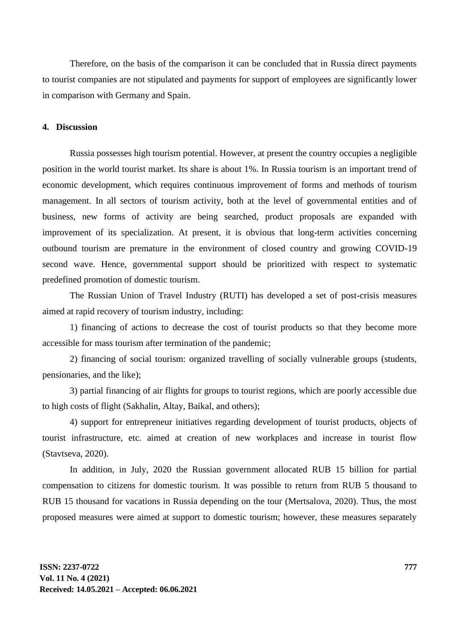Therefore, on the basis of the comparison it can be concluded that in Russia direct payments to tourist companies are not stipulated and payments for support of employees are significantly lower in comparison with Germany and Spain.

#### **4. Discussion**

Russia possesses high tourism potential. However, at present the country occupies a negligible position in the world tourist market. Its share is about 1%. In Russia tourism is an important trend of economic development, which requires continuous improvement of forms and methods of tourism management. In all sectors of tourism activity, both at the level of governmental entities and of business, new forms of activity are being searched, product proposals are expanded with improvement of its specialization. At present, it is obvious that long-term activities concerning outbound tourism are premature in the environment of closed country and growing COVID-19 second wave. Hence, governmental support should be prioritized with respect to systematic predefined promotion of domestic tourism.

The Russian Union of Travel Industry (RUTI) has developed a set of post-crisis measures aimed at rapid recovery of tourism industry, including:

1) financing of actions to decrease the cost of tourist products so that they become more accessible for mass tourism after termination of the pandemic;

2) financing of social tourism: organized travelling of socially vulnerable groups (students, pensionaries, and the like);

3) partial financing of air flights for groups to tourist regions, which are poorly accessible due to high costs of flight (Sakhalin, Altay, Baikal, and others);

4) support for entrepreneur initiatives regarding development of tourist products, objects of tourist infrastructure, etc. aimed at creation of new workplaces and increase in tourist flow (Stavtseva, 2020).

In addition, in July, 2020 the Russian government allocated RUB 15 billion for partial compensation to citizens for domestic tourism. It was possible to return from RUB 5 thousand to RUB 15 thousand for vacations in Russia depending on the tour (Mertsalova, 2020). Thus, the most proposed measures were aimed at support to domestic tourism; however, these measures separately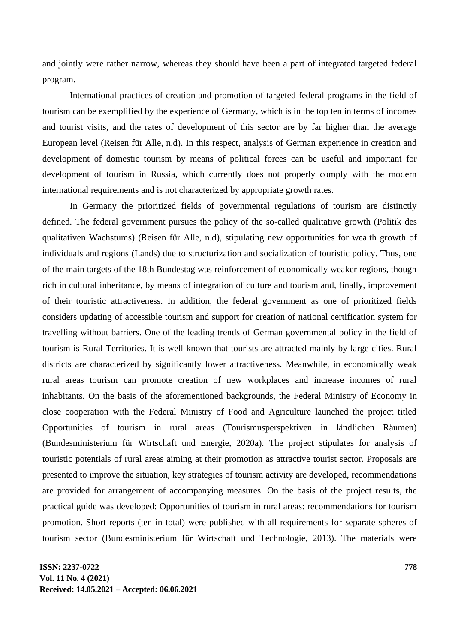and jointly were rather narrow, whereas they should have been a part of integrated targeted federal program.

International practices of creation and promotion of targeted federal programs in the field of tourism can be exemplified by the experience of Germany, which is in the top ten in terms of incomes and tourist visits, and the rates of development of this sector are by far higher than the average European level (Reisen für Alle, n.d). In this respect, analysis of German experience in creation and development of domestic tourism by means of political forces can be useful and important for development of tourism in Russia, which currently does not properly comply with the modern international requirements and is not characterized by appropriate growth rates.

In Germany the prioritized fields of governmental regulations of tourism are distinctly defined. The federal government pursues the policy of the so-called qualitative growth (Politik des qualitativen Wachstums) (Reisen für Alle, n.d), stipulating new opportunities for wealth growth of individuals and regions (Lands) due to structurization and socialization of touristic policy. Thus, one of the main targets of the 18th Bundestag was reinforcement of economically weaker regions, though rich in cultural inheritance, by means of integration of culture and tourism and, finally, improvement of their touristic attractiveness. In addition, the federal government as one of prioritized fields considers updating of accessible tourism and support for creation of national certification system for travelling without barriers. One of the leading trends of German governmental policy in the field of tourism is Rural Territories. It is well known that tourists are attracted mainly by large cities. Rural districts are characterized by significantly lower attractiveness. Meanwhile, in economically weak rural areas tourism can promote creation of new workplaces and increase incomes of rural inhabitants. On the basis of the aforementioned backgrounds, the Federal Ministry of Economy in close cooperation with the Federal Ministry of Food and Agriculture launched the project titled Opportunities of tourism in rural areas (Tourismusperspektiven in ländlichen Räumen) (Bundesministerium für Wirtschaft und Energie, 2020a). The project stipulates for analysis of touristic potentials of rural areas aiming at their promotion as attractive tourist sector. Proposals are presented to improve the situation, key strategies of tourism activity are developed, recommendations are provided for arrangement of accompanying measures. On the basis of the project results, the practical guide was developed: Opportunities of tourism in rural areas: recommendations for tourism promotion. Short reports (ten in total) were published with all requirements for separate spheres of tourism sector (Bundesministerium für Wirtschaft und Technologie, 2013). The materials were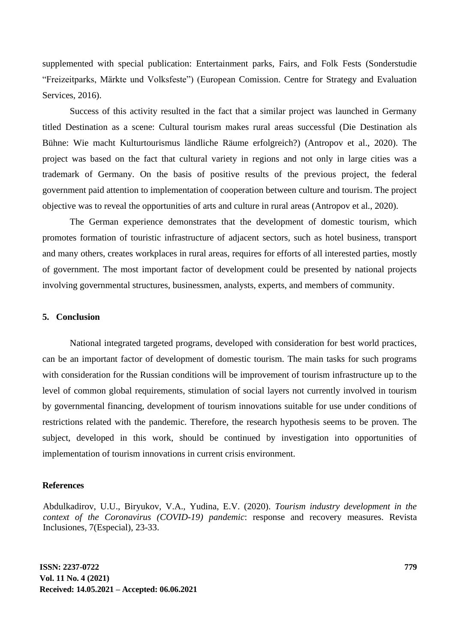supplemented with special publication: Entertainment parks, Fairs, and Folk Fests (Sonderstudie "Freizeitparks, Märkte und Volksfeste") (European Comission. Centre for Strategy and Evaluation Services, 2016).

Success of this activity resulted in the fact that a similar project was launched in Germany titled Destination as a scene: Cultural tourism makes rural areas successful (Die Destination als Bühne: Wie macht Kulturtourismus ländliche Räume erfolgreich?) (Antropov et al., 2020). The project was based on the fact that cultural variety in regions and not only in large cities was a trademark of Germany. On the basis of positive results of the previous project, the federal government paid attention to implementation of cooperation between culture and tourism. The project objective was to reveal the opportunities of arts and culture in rural areas (Antropov et al., 2020).

The German experience demonstrates that the development of domestic tourism, which promotes formation of touristic infrastructure of adjacent sectors, such as hotel business, transport and many others, creates workplaces in rural areas, requires for efforts of all interested parties, mostly of government. The most important factor of development could be presented by national projects involving governmental structures, businessmen, analysts, experts, and members of community.

#### **5. Conclusion**

National integrated targeted programs, developed with consideration for best world practices, can be an important factor of development of domestic tourism. The main tasks for such programs with consideration for the Russian conditions will be improvement of tourism infrastructure up to the level of common global requirements, stimulation of social layers not currently involved in tourism by governmental financing, development of tourism innovations suitable for use under conditions of restrictions related with the pandemic. Therefore, the research hypothesis seems to be proven. The subject, developed in this work, should be continued by investigation into opportunities of implementation of tourism innovations in current crisis environment.

#### **References**

Abdulkadirov, U.U., Biryukov, V.A., Yudina, E.V. (2020). *Tourism industry development in the context of the Coronavirus (COVID-19) pandemic*: response and recovery measures. Revista Inclusiones, 7(Especial), 23-33.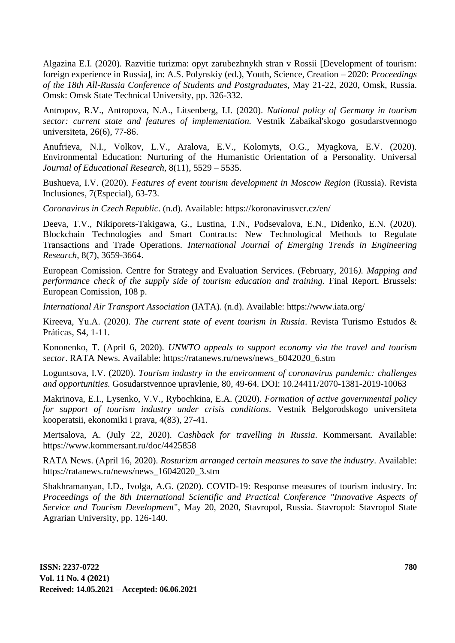Algazina E.I. (2020). Razvitie turizma: opyt zarubezhnykh stran v Rossii [Development of tourism: foreign experience in Russia], in: A.S. Polynskiy (ed.), Youth, Science, Creation – 2020: *Proceedings of the 18th All-Russia Conference of Students and Postgraduates*, May 21-22, 2020, Omsk, Russia. Omsk: Omsk State Technical University, pp. 326-332.

Antropov, R.V., Antropova, N.A., Litsenberg, I.I. (2020). *National policy of Germany in tourism sector: current state and features of implementation.* Vestnik Zabaikal'skogo gosudarstvennogo universiteta, 26(6), 77-86.

Anufrieva, N.I., Volkov, L.V., Aralova, E.V., Kolomyts, O.G., Myagkova, E.V. (2020). Environmental Education: Nurturing of the Humanistic Orientation of a Personality. Universal *Journal of Educational Research*, 8(11), 5529 – 5535.

Bushueva, I.V. (2020). *Features of event tourism development in Moscow Region* (Russia). Revista Inclusiones, 7(Especial), 63-73.

*Coronavirus in Czech Republic*. (n.d). Available: https://koronavirusvcr.cz/en/

Deeva, T.V., Nikiporets-Takigawa, G., Lustina, T.N., Podsevalova, E.N., Didenko, E.N. (2020). Blockchain Technologies and Smart Contracts: New Technological Methods to Regulate Transactions and Trade Operations. *International Journal of Emerging Trends in Engineering Research*, 8(7), 3659-3664.

European Comission. Centre for Strategy and Evaluation Services. (February, 2016*). Mapping and performance check of the supply side of tourism education and training.* Final Report. Brussels: European Comission, 108 p.

*International Air Transport Association* (IATA). (n.d). Available: https://www.iata.org/

Kireeva, Yu.A. (2020*). The current state of event tourism in Russia*. Revista Turismo Estudos & Práticas, S4, 1-11.

Kononenko, T. (April 6, 2020). *UNWTO appeals to support economy via the travel and tourism sector*. RATA News. Available: https://ratanews.ru/news/news\_6042020\_6.stm

Loguntsova, I.V. (2020). *Tourism industry in the environment of coronavirus pandemic: challenges and opportunities.* Gosudarstvennoe upravlenie, 80, 49-64. DOI: 10.24411/2070-1381-2019-10063

Makrinova, E.I., Lysenko, V.V., Rybochkina, E.A. (2020). *Formation of active governmental policy for support of tourism industry under crisis conditions*. Vestnik Belgorodskogo universiteta kooperatsii, ekonomiki i prava, 4(83), 27-41.

Mertsalova, A. (July 22, 2020). *Cashback for travelling in Russia*. Kommersant. Available: https://www.kommersant.ru/doc/4425858

RATA News. (April 16, 2020). *Rosturizm arranged certain measures to save the industry*. Available: https://ratanews.ru/news/news\_16042020\_3.stm

Shakhramanyan, I.D., Ivolga, A.G. (2020). COVID-19: Response measures of tourism industry. In: *Proceedings of the 8th International Scientific and Practical Conference "Innovative Aspects of Service and Tourism Development*", May 20, 2020, Stavropol, Russia. Stavropol: Stavropol State Agrarian University, pp. 126-140.